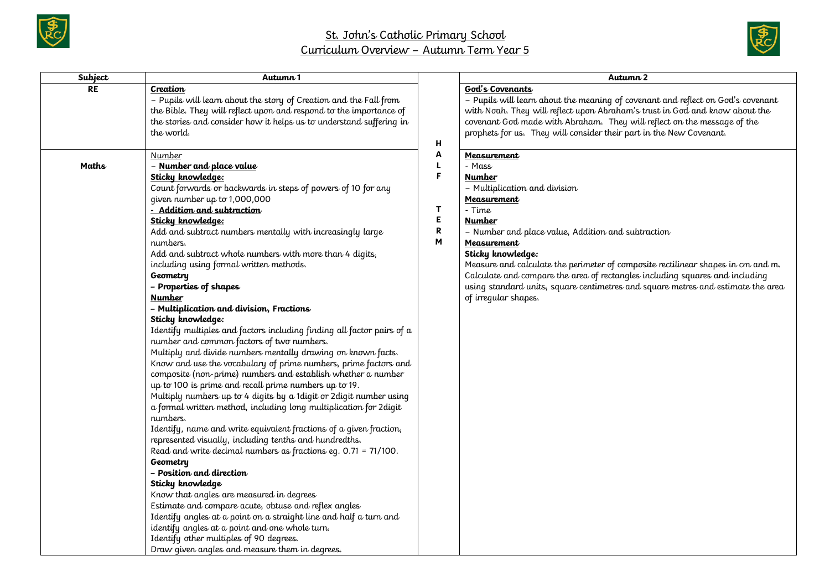



| Subject   | Autumn 1                                                                                                                                                                                                                                                                                                                                                                                                                                                                                                                                                                                                                                                                                                                                                                                                                                                                                                                                                                                                                                                                                                                                                                                                                                                                                                                                                                                                                                                                                                                                                                                                                                             |                            | Autumn 2                                                                                                                                                                                                                                                                                                                                                                                                                                                                                    |
|-----------|------------------------------------------------------------------------------------------------------------------------------------------------------------------------------------------------------------------------------------------------------------------------------------------------------------------------------------------------------------------------------------------------------------------------------------------------------------------------------------------------------------------------------------------------------------------------------------------------------------------------------------------------------------------------------------------------------------------------------------------------------------------------------------------------------------------------------------------------------------------------------------------------------------------------------------------------------------------------------------------------------------------------------------------------------------------------------------------------------------------------------------------------------------------------------------------------------------------------------------------------------------------------------------------------------------------------------------------------------------------------------------------------------------------------------------------------------------------------------------------------------------------------------------------------------------------------------------------------------------------------------------------------------|----------------------------|---------------------------------------------------------------------------------------------------------------------------------------------------------------------------------------------------------------------------------------------------------------------------------------------------------------------------------------------------------------------------------------------------------------------------------------------------------------------------------------------|
| <b>RE</b> | Creation<br>- Pupils will learn about the story of Creation and the Fall from<br>the Bible. They will reflect upon and respond to the importance of<br>the stories and consider how it helps us to understand suffering in<br>the world.                                                                                                                                                                                                                                                                                                                                                                                                                                                                                                                                                                                                                                                                                                                                                                                                                                                                                                                                                                                                                                                                                                                                                                                                                                                                                                                                                                                                             | н                          | God's Covenants<br>- Pupils will learn about the meaning of covenant and reflect on God's covenant<br>with Noah. They will reflect upon Abraham's trust in God and know about the<br>covenant God made with Abraham. They will reflect on the message of the<br>prophets for us. They will consider their part in the New Covenant.                                                                                                                                                         |
| Maths     | Number<br>- Number and place value<br>Sticky knowledge:<br>Count forwards or backwards in steps of powers of 10 for any<br>given number up to 1,000,000<br>- Addition and subtraction<br>Sticky knowledge:<br>Add and subtract numbers mentally with increasingly large<br>numbers.<br>Add and subtract whole numbers with more than 4 digits,<br>including using formal written methods.<br>Geometry<br>- Properties of shapes<br><b>Number</b><br>- Multiplication and division, Fractions<br>Sticky knowledge:<br>Identify multiples and factors including finding all factor pairs of a<br>number and common factors of two numbers.<br>Multiply and divide numbers mentally drawing on known facts.<br>Know and use the vocabulary of prime numbers, prime factors and<br>composite (non-prime) numbers and establish whether a number<br>up to 100 is prime and recall prime numbers up to 19.<br>Multiply numbers up to 4 digits by a 1 digit or 2 digit number using<br>a formal written method, including long multiplication for 2 digit<br>numbers.<br>Identify, name and write equivalent fractions of a given fraction,<br>represented visually, including tenths and hundredths.<br>Read and write decimal numbers as fractions eg. 0.71 = 71/100.<br>Geometry<br>- Position and direction<br>Sticky knowledge<br>Know that angles are measured in degrees<br>Estimate and compare acute, obtuse and reflex angles<br>Identify angles at a point on a straight line and half a turn and<br>identify angles at a point and one whole turn.<br>Identify other multiples of 90 degrees.<br>Draw given angles and measure them in degrees. | Α<br>F<br>T<br>Е<br>R<br>M | Measurement<br>- Mass<br><b>Number</b><br>- Multiplication and division<br>Measurement<br>- Time<br><b>Number</b><br>- Number and place value, Addition and subtraction<br>Measurement<br>Sticky knowledge:<br>Measure and calculate the perimeter of composite rectilinear shapes in cm and m.<br>Calculate and compare the area of rectangles including squares and including<br>using standard units, square centimetres and square metres and estimate the area<br>of irreqular shapes. |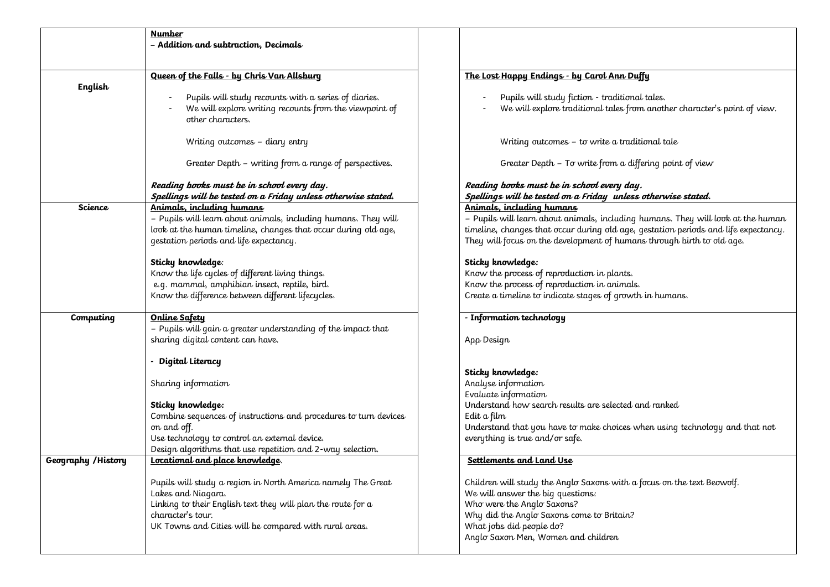|                                                                                                                                                                                                                                                                                             | <b>Number</b><br>- Addition and subtraction, Decimals                                                                                                                                                                                                                                                                                                                                  |                                                                                                                                                                                                                                                                                                                                                                                                                                                                 |  |
|---------------------------------------------------------------------------------------------------------------------------------------------------------------------------------------------------------------------------------------------------------------------------------------------|----------------------------------------------------------------------------------------------------------------------------------------------------------------------------------------------------------------------------------------------------------------------------------------------------------------------------------------------------------------------------------------|-----------------------------------------------------------------------------------------------------------------------------------------------------------------------------------------------------------------------------------------------------------------------------------------------------------------------------------------------------------------------------------------------------------------------------------------------------------------|--|
| English                                                                                                                                                                                                                                                                                     | Queen of the Falls - by Chris Van Allsburg<br>Pupils will study recounts with a series of diaries.<br>We will explore writing recounts from the viewpoint of<br>other characters.                                                                                                                                                                                                      | The Lost Happy Endings - by Carol Ann Duffy<br>Pupils will study fiction - traditional tales.<br>We will explore traditional tales from another character's point of view.                                                                                                                                                                                                                                                                                      |  |
|                                                                                                                                                                                                                                                                                             | Writing outcomes - diary entry<br>Greater Depth - writing from a range of perspectives.                                                                                                                                                                                                                                                                                                | Writing outcomes - to write a traditional tale                                                                                                                                                                                                                                                                                                                                                                                                                  |  |
|                                                                                                                                                                                                                                                                                             | Reading books must be in school every day.<br>Spellings will be tested on a Friday unless otherwise stated.                                                                                                                                                                                                                                                                            | Greater Depth - To write from a differing point of view<br>Reading books must be in school every day.<br>Spellings will be tested on a Friday unless otherwise stated.                                                                                                                                                                                                                                                                                          |  |
| Science                                                                                                                                                                                                                                                                                     | Animals, including humans<br>- Pupils will learn about animals, including humans. They will<br>look at the human timeline, changes that occur during old age,<br>gestation periods and life expectancy.<br>Sticky knowledge:<br>Know the life cycles of different living things.<br>e.g. mammal, amphibian insect, reptile, bird.<br>Know the difference between different lifecycles. | Animals, including humans<br>- Pupils will learn about animals, including humans. They will look at the human<br>timeline, changes that occur during old age, gestation periods and life expectancy.<br>They will focus on the development of humans through birth to old age.<br>Sticky knowledge:<br>Know the process of reproduction in plants.<br>Know the process of reproduction in animals.<br>Create a timeline to indicate stages of growth in humans. |  |
| Computing                                                                                                                                                                                                                                                                                   | Online Safety<br>- Pupils will gain a greater understanding of the impact that<br>sharing digital content can have.<br>- Digital Literacy                                                                                                                                                                                                                                              | - Information technology<br>App Design                                                                                                                                                                                                                                                                                                                                                                                                                          |  |
|                                                                                                                                                                                                                                                                                             | Sharing information<br>Sticky knowledge:<br>Combine sequences of instructions and procedures to turn devices<br>on and off.<br>Use technology to control an external device.<br>Design algorithms that use repetition and 2-way selection.                                                                                                                                             | Sticky knowledge:<br>Analyse information<br>Evaluate information<br>Understand how search results are selected and ranked<br>Edit a film<br>Understand that you have to make choices when using technology and that not<br>everything is true and/or safe.                                                                                                                                                                                                      |  |
| Geography / History<br>Locational and place knowledge.<br>Pupils will study a region in North America namely The Great<br>Lakes and Niagara.<br>Linking to their English text they will plan the route for a<br>character's tour.<br>UK Towns and Cities will be compared with rural areas. |                                                                                                                                                                                                                                                                                                                                                                                        | Settlements and Land Use<br>Children will study the Anglo Saxons with a focus on the text Beowolf.<br>We will answer the big questions:<br>Who were the Anglo Saxons?<br>Why did the Anglo Saxons come to Britain?<br>What jobs did people do?<br>Anglo Saxon Men, Women and children                                                                                                                                                                           |  |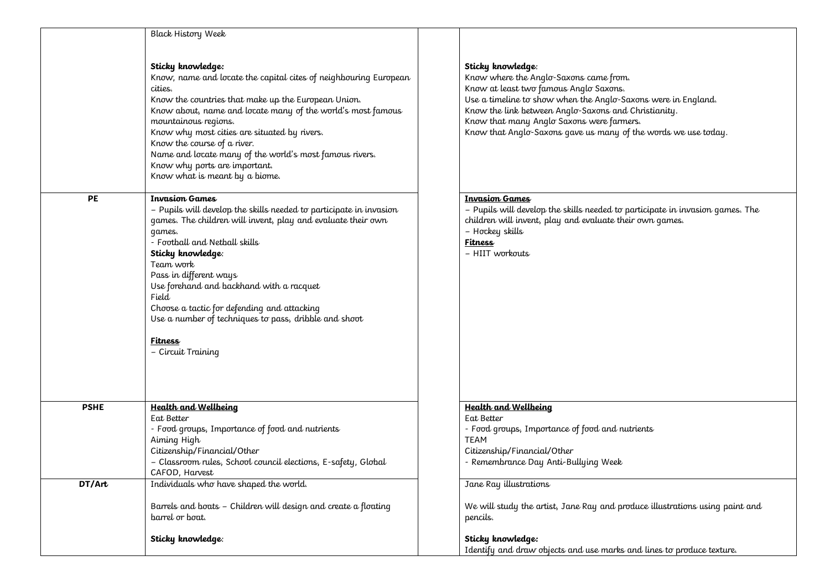|             | <b>Black History Week</b>                                          |
|-------------|--------------------------------------------------------------------|
|             |                                                                    |
|             | Sticky knowledge:                                                  |
|             | Know, name and locate the capital cites of neighbouring European   |
|             | cities.                                                            |
|             | Know the countries that make up the European Union.                |
|             | Know about, name and locate many of the world's most famous        |
|             | mountainous regions.                                               |
|             | Know why most cities are situated by rivers.                       |
|             | Know the course of a river.                                        |
|             | Name and locate many of the world's most famous rivers.            |
|             |                                                                    |
|             | Know why ports are important.                                      |
|             | Know what is meant by a biome.                                     |
| РE          | <b>Invasion Games</b>                                              |
|             | - Pupils will develop the skills needed to participate in invasion |
|             | games. The children will invent, play and evaluate their own       |
|             | qames.                                                             |
|             | - Football and Netball skills                                      |
|             | Sticky knowledge:                                                  |
|             | Team work                                                          |
|             |                                                                    |
|             | Pass in different ways                                             |
|             | Use forehand and backhand with a racquet                           |
|             | Field                                                              |
|             | Choose a tactic for defending and attacking                        |
|             | Use a number of techniques to pass, dribble and shoot              |
|             | Fitness                                                            |
|             | - Circuit Training                                                 |
|             |                                                                    |
|             |                                                                    |
| <b>PSHE</b> | <b>Health and Wellbeing</b>                                        |
|             | Eat Better                                                         |
|             | - Food groups, Importance of food and nutrients                    |
|             | Aiming High                                                        |
|             | Citizenship/Financial/Other                                        |
|             | - Classroom rules, School council elections, E-safety, Global      |
|             |                                                                    |
| DT/Art      | CAFOD, Harvest<br>Individuals who have shaped the world.           |
|             |                                                                    |
|             | Barrels and boats - Children will design and create a floating     |
|             | barrel or boat.                                                    |
|             |                                                                    |
|             | Sticky knowledge:                                                  |
|             |                                                                    |

## **Sticky knowledge**:

Know where the Anglo-Saxons came from. Know at least two famous Anglo Saxons. Use a timeline to show when the Anglo-Saxons were in England. Know the link between Anglo-Saxons and Christianity. Know that many Anglo Saxons were farmers. Know that Anglo-Saxons gave us many of the words we use today.

## **Invasion Games**

– Pupils will develop the skills needed to participate in invasion games. The children will invent, play and evaluate their own games. – Hockey skills **Fitness** – HIIT workouts

## **Health and Wellbeing**

Eat Better - Food groups, Importance of food and nutrients TEAM Citizenship/Financial/Other - Remembrance Day Anti-Bullying Week

## Jane Ray illustrations

We will study the artist, Jane Ray and produce illustrations using paint and pencils.

**Sticky knowledge:** Identify and draw objects and use marks and lines to produce texture.